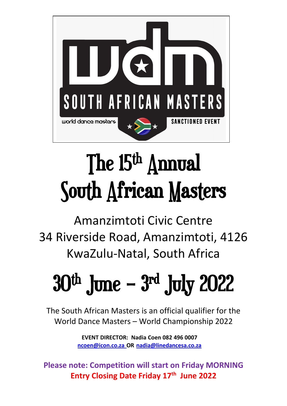

# The 15<sup>th</sup> Annual South African Masters

Amanzimtoti Civic Centre 34 Riverside Road, Amanzimtoti, 4126 KwaZulu-Natal, South Africa

# $30^{\mathrm{th}}$  June –  $3^{\mathrm{rd}}$  July 2022

The South African Masters is an official qualifier for the World Dance Masters – World Championship 2022

> **EVENT DIRECTOR: Nadia Coen 082 496 0007 [ncoen@icon.co.za](mailto:ncoen@icon.co.za) OR [nadia@linedancesa.co.za](mailto:nadia@linedancesa.co.za)**

**Please note: Competition will start on Friday MORNING Entry Closing Date Friday 17th June 2022**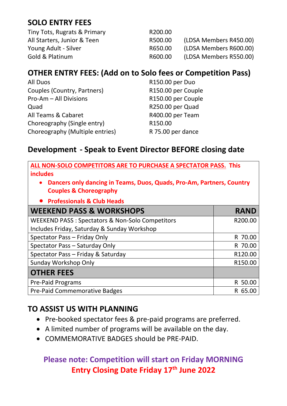# **SOLO ENTRY FEES**

Tiny Tots, Rugrats & Primary R200.00

All Starters, Junior & Teen R500.00 (LDSA Members R450.00) Young Adult - Silver **Example 20 Set 20 Set 20 Set 20 Adventured** R650.00 (LDSA Members R600.00) Gold & Platinum R600.00 (LDSA Members R550.00)

## **OTHER ENTRY FEES: (Add on to Solo fees or Competition Pass)**

| All Duos                        | R150.00 per Duo    |
|---------------------------------|--------------------|
| Couples (Country, Partners)     | R150.00 per Couple |
| Pro-Am - All Divisions          | R150.00 per Couple |
| Quad                            | R250.00 per Quad   |
| All Teams & Cabaret             | R400.00 per Team   |
| Choreography (Single entry)     | R150.00            |
| Choreography (Multiple entries) | R 75.00 per dance  |

#### **Development - Speak to Event Director BEFORE closing date**

| ALL NON-SOLO COMPETITORS ARE TO PURCHASE A SPECTATOR PASS. This<br><b>includes</b>                         |                     |  |  |  |
|------------------------------------------------------------------------------------------------------------|---------------------|--|--|--|
| Dancers only dancing in Teams, Duos, Quads, Pro-Am, Partners, Country<br><b>Couples &amp; Choreography</b> |                     |  |  |  |
| <b>Professionals &amp; Club Heads</b>                                                                      |                     |  |  |  |
| <b>WEEKEND PASS &amp; WORKSHOPS</b>                                                                        | <b>RAND</b>         |  |  |  |
| WEEKEND PASS: Spectators & Non-Solo Competitors                                                            | R200.00             |  |  |  |
| Includes Friday, Saturday & Sunday Workshop                                                                |                     |  |  |  |
| Spectator Pass - Friday Only                                                                               | R 70.00             |  |  |  |
| Spectator Pass - Saturday Only                                                                             | R 70.00             |  |  |  |
| Spectator Pass - Friday & Saturday                                                                         | R120.00             |  |  |  |
| Sunday Workshop Only                                                                                       | R <sub>150.00</sub> |  |  |  |
| <b>OTHER FEES</b>                                                                                          |                     |  |  |  |
| <b>Pre-Paid Programs</b>                                                                                   | R 50.00             |  |  |  |
| <b>Pre-Paid Commemorative Badges</b>                                                                       | R 65.00             |  |  |  |

## **TO ASSIST US WITH PLANNING**

- Pre-booked spectator fees & pre-paid programs are preferred.
- A limited number of programs will be available on the day.
- COMMEMORATIVE BADGES should be PRE-PAID.

## **Please note: Competition will start on Friday MORNING Entry Closing Date Friday 17th June 2022**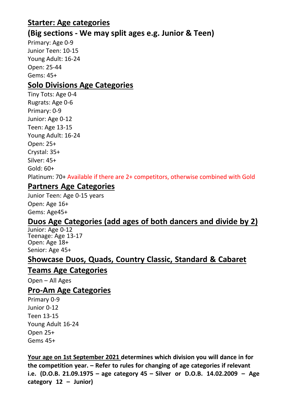#### **Starter: Age categories**

#### **(Big sections - We may split ages e.g. Junior & Teen)**

Primary: Age 0-9 Junior Teen: 10-15 Young Adult: 16-24 Open: 25-44 Gems: 45+

#### **Solo Divisions Age Categories**

Tiny Tots: Age 0-4 Rugrats: Age 0-6 Primary: 0-9 Junior: Age 0-12 Teen: Age 13-15 Young Adult: 16-24 Open: 25+ Crystal: 35+ Silver: 45+ Gold: 60+ Platinum: 70+ Available if there are 2+ competitors, otherwise combined with Gold

#### **Partners Age Categories**

Junior Teen: Age 0-15 years Open: Age 16+ Gems: Age45+

#### **Duos Age Categories (add ages of both dancers and divide by 2)**

Junior: Age 0-12 Teenage: Age 13-17 Open: Age 18+ Senior: Age 45+

#### **Showcase Duos, Quads, Country Classic, Standard & Cabaret**

#### **Teams Age Categories**

Open – All Ages

#### **Pro-Am Age Categories**

Primary 0-9 Junior 0-12 Teen 13-15 Young Adult 16-24 Open 25+ Gems 45+

**Your age on 1st September 2021 determines which division you will dance in for the competition year. – Refer to rules for changing of age categories if relevant i.e. (D.O.B. 21.09.1975 – age category 45 – Silver or D.O.B. 14.02.2009 – Age category 12 – Junior)**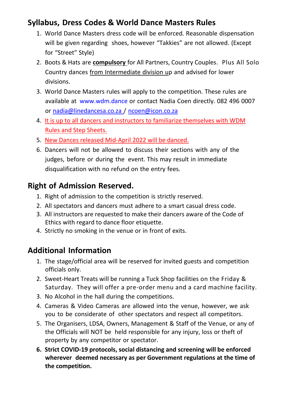#### **Syllabus, Dress Codes & World Dance Masters Rules**

- 1. World Dance Masters dress code will be enforced. Reasonable dispensation will be given regarding shoes, however "Takkies" are not allowed. (Except for "Street" Style)
- 2. Boots & Hats are **compulsory** for All Partners, Country Couples. Plus All Solo Country dances from Intermediate division up and advised for lower divisions.
- 3. World Dance Masters rules will apply to the competition. These rules are available at [www.wdm.dance](http://www.wdm.dance/) or contact Nadia Coen directly. 082 496 0007 or [nadia@linedancesa.co.za](mailto:nadia@linedancesa.co.za) / [ncoen@icon.co.za](mailto:ncoen@icon.co.za)
- 4. It is up to all dancers and instructors to familiarize themselves with WDM Rules and Step Sheets.
- 5. New Dances released Mid-April 2022 will be danced.
- 6. Dancers will not be allowed to discuss their sections with any of the judges, before or during the event. This may result in immediate disqualification with no refund on the entry fees.

## **Right of Admission Reserved.**

- 1. Right of admission to the competition is strictly reserved.
- 2. All spectators and dancers must adhere to a smart casual dress code.
- 3. All instructors are requested to make their dancers aware of the Code of Ethics with regard to dance floor etiquette.
- 4. Strictly no smoking in the venue or in front of exits.

## **Additional Information**

- 1. The stage/official area will be reserved for invited guests and competition officials only.
- 2. Sweet-Heart Treats will be running a Tuck Shop facilities on the Friday & Saturday. They will offer a pre-order menu and a card machine facility.
- 3. No Alcohol in the hall during the competitions.
- 4. Cameras & Video Cameras are allowed into the venue, however, we ask you to be considerate of other spectators and respect all competitors.
- 5. The Organisers, LDSA, Owners, Management & Staff of the Venue, or any of the Officials will NOT be held responsible for any injury, loss or theft of property by any competitor or spectator.
- **6. Strict COVID-19 protocols, social distancing and screening will be enforced wherever deemed necessary as per Government regulations at the time of the competition.**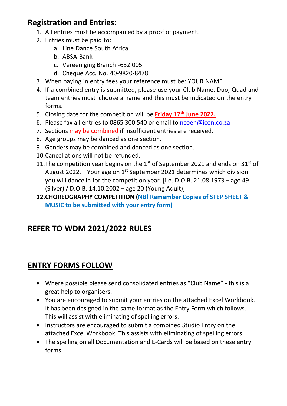#### **Registration and Entries:**

- 1. All entries must be accompanied by a proof of payment.
- 2. Entries must be paid to:
	- a. Line Dance South Africa
	- b. ABSA Bank
	- c. Vereeniging Branch -632 005
	- d. Cheque Acc. No. 40-9820-8478
- 3. When paying in entry fees your reference must be: YOUR NAME
- 4. If a combined entry is submitted, please use your Club Name. Duo, Quad and team entries must choose a name and this must be indicated on the entry forms.
- 5. Closing date for the competition will be **Friday 17th June 2022.**
- 6. Please fax all entries to 0865 300 540 or email to [ncoen@icon.co.za](mailto:ncoen@icon.co.za)
- 7. Sections may be combined if insufficient entries are received.
- 8. Age groups may be danced as one section.
- 9. Genders may be combined and danced as one section.
- 10.Cancellations will not be refunded.
- 11. The competition year begins on the  $1<sup>st</sup>$  of September 2021 and ends on 31 $<sup>st</sup>$  of</sup> August 2022. Your age on 1<sup>st</sup> September 2021 determines which division you will dance in for the competition year. [i.e. D.O.B. 21.08.1973 – age 49 (Silver) / D.O.B. 14.10.2002 – age 20 (Young Adult)]
- **12.CHOREOGRAPHY COMPETITION (NB! Remember Copies of STEP SHEET & MUSIC to be submitted with your entry form)**

# **REFER TO WDM 2021/2022 RULES**

## **ENTRY FORMS FOLLOW**

- Where possible please send consolidated entries as "Club Name" this is a great help to organisers.
- You are encouraged to submit your entries on the attached Excel Workbook. It has been designed in the same format as the Entry Form which follows. This will assist with eliminating of spelling errors.
- Instructors are encouraged to submit a combined Studio Entry on the attached Excel Workbook. This assists with eliminating of spelling errors.
- The spelling on all Documentation and E-Cards will be based on these entry forms.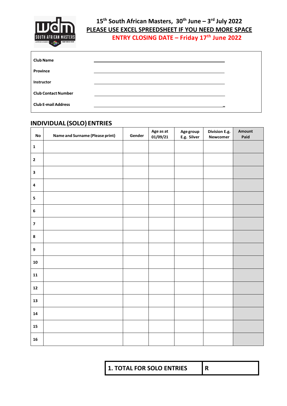

#### **15th South African Masters, 30th June – 3 rd July 2022 PLEASE USE EXCEL SPREEDSHEET IF YOU NEED MORE SPACE ENTRY CLOSING DATE – Friday 17th June 2022**

| <b>Club Name</b>           |  |
|----------------------------|--|
| Province                   |  |
| <b>Instructor</b>          |  |
| <b>Club Contact Number</b> |  |
| <b>Club E-mail Address</b> |  |

#### **INDIVIDUAL (SOLO) ENTRIES**

| $\mathop{\mathsf{No}}$  | <b>Name and Surname (Please print)</b> | Gender | Age as at<br>01/09/21 | Age group<br>E.g. Silver | Division E.g.<br><b>Newcomer</b> | Amount<br>Paid |
|-------------------------|----------------------------------------|--------|-----------------------|--------------------------|----------------------------------|----------------|
| $\mathbf 1$             |                                        |        |                       |                          |                                  |                |
| $\mathbf{2}$            |                                        |        |                       |                          |                                  |                |
| $\mathbf{3}$            |                                        |        |                       |                          |                                  |                |
| $\pmb{4}$               |                                        |        |                       |                          |                                  |                |
| 5                       |                                        |        |                       |                          |                                  |                |
| $\bf 6$                 |                                        |        |                       |                          |                                  |                |
| $\overline{\mathbf{z}}$ |                                        |        |                       |                          |                                  |                |
| $\bf8$                  |                                        |        |                       |                          |                                  |                |
| $\boldsymbol{9}$        |                                        |        |                       |                          |                                  |                |
| ${\bf 10}$              |                                        |        |                       |                          |                                  |                |
| $\mathbf{11}$           |                                        |        |                       |                          |                                  |                |
| ${\bf 12}$              |                                        |        |                       |                          |                                  |                |
| 13                      |                                        |        |                       |                          |                                  |                |
| 14                      |                                        |        |                       |                          |                                  |                |
| ${\bf 15}$              |                                        |        |                       |                          |                                  |                |
| 16                      |                                        |        |                       |                          |                                  |                |

**1. TOTAL FOR SOLO ENTRIES R**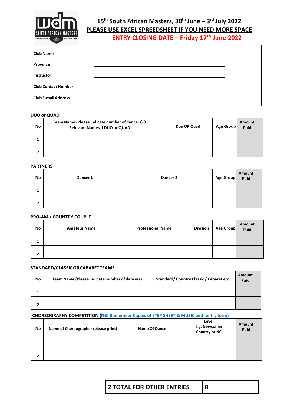

#### **15th South African Masters, 30th June – 3 rd July 2022 PLEASE USE EXCEL SPREEDSHEET IF YOU NEED MORE SPACE**

**ENTRY CLOSING DATE – Friday 17th June 2022**

| <b>Club Name</b>           |  |
|----------------------------|--|
| Province                   |  |
| <b>Instructor</b>          |  |
| <b>Club Contact Number</b> |  |
| <b>Club E-mail Address</b> |  |

#### **DUO or QUAD**

| No     | Team Name (Please indicate number of dancers) &<br><b>Relevant Names if DUO or QUAD</b> | Duo OR Quad | Age Group | Amount<br>Paid |
|--------|-----------------------------------------------------------------------------------------|-------------|-----------|----------------|
|        |                                                                                         |             |           |                |
| י<br>▴ |                                                                                         |             |           |                |

#### **PARTNERS**

| No             | Dancer 1 | Dancer 2 | Age Group Amount |  |
|----------------|----------|----------|------------------|--|
| щ              |          |          |                  |  |
| $\overline{2}$ |          |          |                  |  |

#### **PRO-AM / COUNTRY COUPLE**

| No     | <b>Amateur Name</b> | <b>Professional Name</b> | <b>Division</b> | Age Group | Amount<br>Paid |
|--------|---------------------|--------------------------|-----------------|-----------|----------------|
| л.     |                     |                          |                 |           |                |
| ∍<br>▴ |                     |                          |                 |           |                |

#### **STANDARD/CLASSICORCABARETTEAMS**

| No     | Team Name (Please indicate number of dancers) | Standard/Country Classic / Cabaret etc. | Amount<br>Paid |
|--------|-----------------------------------------------|-----------------------------------------|----------------|
| л.     |                                               |                                         |                |
| ∍<br>▴ |                                               |                                         |                |

#### **CHOREOGRAPHY COMPETITION (NB! Remember Copies of STEP SHEET & MUSIC with entry form)**

| No | Name of Choreographer (please print) | <b>Name Of Dance</b> | Level<br>E.g. Newcomer<br><b>Country or NC</b> | Amount<br>Paid |
|----|--------------------------------------|----------------------|------------------------------------------------|----------------|
| ш  |                                      |                      |                                                |                |
| 2  |                                      |                      |                                                |                |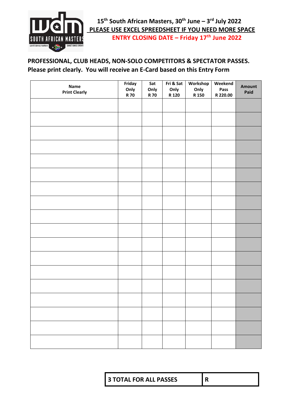

#### **PROFESSIONAL, CLUB HEADS, NON-SOLO COMPETITORS & SPECTATOR PASSES. Please print clearly. You will receive an E-Card based on this Entry Form**

| Name<br><b>Print Clearly</b> | Friday<br>Only<br><b>R70</b> | Sat<br>Only<br><b>R70</b> | Fri & Sat<br>Only<br>R 120 | Workshop<br>Only<br>R 150 | Weekend<br>Pass<br>R 220.00 | Amount<br>Paid |
|------------------------------|------------------------------|---------------------------|----------------------------|---------------------------|-----------------------------|----------------|
|                              |                              |                           |                            |                           |                             |                |
|                              |                              |                           |                            |                           |                             |                |
|                              |                              |                           |                            |                           |                             |                |
|                              |                              |                           |                            |                           |                             |                |
|                              |                              |                           |                            |                           |                             |                |
|                              |                              |                           |                            |                           |                             |                |
|                              |                              |                           |                            |                           |                             |                |
|                              |                              |                           |                            |                           |                             |                |
|                              |                              |                           |                            |                           |                             |                |
|                              |                              |                           |                            |                           |                             |                |
|                              |                              |                           |                            |                           |                             |                |
|                              |                              |                           |                            |                           |                             |                |
|                              |                              |                           |                            |                           |                             |                |
|                              |                              |                           |                            |                           |                             |                |
|                              |                              |                           |                            |                           |                             |                |
|                              |                              |                           |                            |                           |                             |                |
|                              |                              |                           |                            |                           |                             |                |
|                              |                              |                           |                            |                           |                             |                |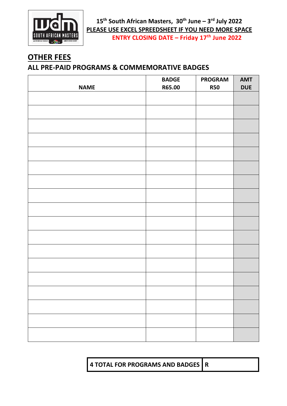

**15th South African Masters, 30th June – 3 rd July 2022 PLEASE USE EXCEL SPREEDSHEET IF YOU NEED MORE SPACE ENTRY CLOSING DATE – Friday 17th June 2022**

## **OTHER FEES**

#### **ALL PRE-PAID PROGRAMS & COMMEMORATIVE BADGES**

|             | <b>BADGE</b> | <b>PROGRAM</b> | <b>AMT</b> |
|-------------|--------------|----------------|------------|
| <b>NAME</b> | R65.00       | <b>R50</b>     | <b>DUE</b> |
|             |              |                |            |
|             |              |                |            |
|             |              |                |            |
|             |              |                |            |
|             |              |                |            |
|             |              |                |            |
|             |              |                |            |
|             |              |                |            |
|             |              |                |            |
|             |              |                |            |
|             |              |                |            |
|             |              |                |            |
|             |              |                |            |
|             |              |                |            |
|             |              |                |            |
|             |              |                |            |
|             |              |                |            |
|             |              |                |            |
|             |              |                |            |
|             |              |                |            |
|             |              |                |            |
|             |              |                |            |
|             |              |                |            |
|             |              |                |            |
|             |              |                |            |
|             |              |                |            |
|             |              |                |            |
|             |              |                |            |
|             |              |                |            |

**4 TOTAL FOR PROGRAMS AND BADGES R**